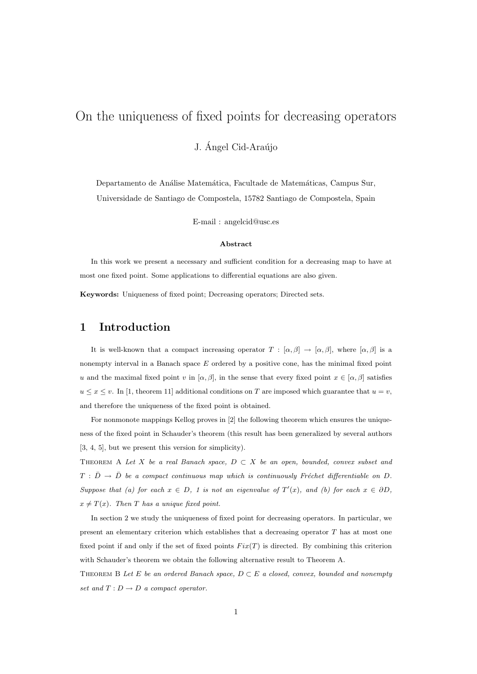# On the uniqueness of fixed points for decreasing operators

J. Ángel Cid-Araújo

Departamento de Análise Matemática, Facultade de Matemáticas, Campus Sur, Universidade de Santiago de Compostela, 15782 Santiago de Compostela, Spain

E-mail : angelcid@usc.es

#### Abstract

In this work we present a necessary and sufficient condition for a decreasing map to have at most one fixed point. Some applications to differential equations are also given.

Keywords: Uniqueness of fixed point; Decreasing operators; Directed sets.

### 1 Introduction

It is well-known that a compact increasing operator  $T : [\alpha, \beta] \to [\alpha, \beta]$ , where  $[\alpha, \beta]$  is a nonempty interval in a Banach space E ordered by a positive cone, has the minimal fixed point u and the maximal fixed point v in  $[\alpha, \beta]$ , in the sense that every fixed point  $x \in [\alpha, \beta]$  satisfies  $u \leq x \leq v$ . In [1, theorem 11] additional conditions on T are imposed which guarantee that  $u = v$ , and therefore the uniqueness of the fixed point is obtained.

For nonmonote mappings Kellog proves in [2] the following theorem which ensures the uniqueness of the fixed point in Schauder's theorem (this result has been generalized by several authors [3, 4, 5], but we present this version for simplicity).

THEOREM A Let X be a real Banach space,  $D \subset X$  be an open, bounded, convex subset and  $T : \bar{D} \to \bar{D}$  be a compact continuous map which is continuously Fréchet differentiable on D. Suppose that (a) for each  $x \in D$ , 1 is not an eigenvalue of  $T'(x)$ , and (b) for each  $x \in \partial D$ ,  $x \neq T(x)$ . Then T has a unique fixed point.

In section 2 we study the uniqueness of fixed point for decreasing operators. In particular, we present an elementary criterion which establishes that a decreasing operator  $T$  has at most one fixed point if and only if the set of fixed points  $Fix(T)$  is directed. By combining this criterion with Schauder's theorem we obtain the following alternative result to Theorem A.

THEOREM B Let E be an ordered Banach space,  $D \subset E$  a closed, convex, bounded and nonempty set and  $T: D \to D$  a compact operator.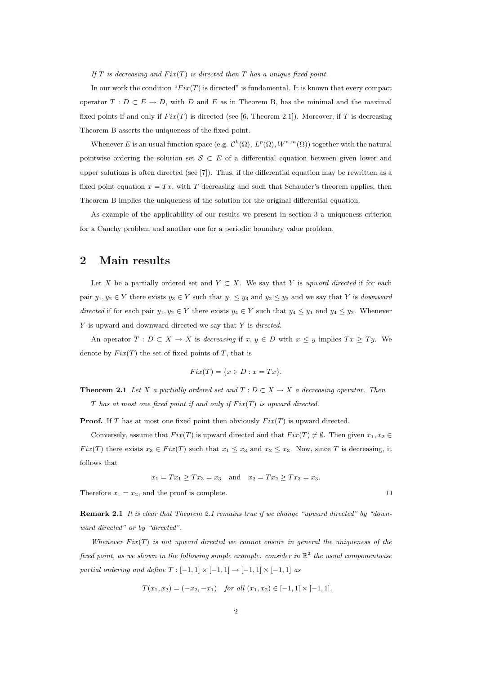If T is decreasing and  $Fix(T)$  is directed then T has a unique fixed point.

In our work the condition " $Fix(T)$  is directed" is fundamental. It is known that every compact operator  $T: D \subset E \to D$ , with D and E as in Theorem B, has the minimal and the maximal fixed points if and only if  $Fix(T)$  is directed (see [6, Theorem 2.1]). Moreover, if T is decreasing Theorem B asserts the uniqueness of the fixed point.

Whenever E is an usual function space (e.g.  $\mathcal{C}^k(\Omega)$ ,  $L^p(\Omega)$ ,  $W^{n,m}(\Omega)$ ) together with the natural pointwise ordering the solution set  $S \subset E$  of a differential equation between given lower and upper solutions is often directed (see  $[7]$ ). Thus, if the differential equation may be rewritten as a fixed point equation  $x = Tx$ , with T decreasing and such that Schauder's theorem applies, then Theorem B implies the uniqueness of the solution for the original differential equation.

As example of the applicability of our results we present in section 3 a uniqueness criterion for a Cauchy problem and another one for a periodic boundary value problem.

### 2 Main results

Let X be a partially ordered set and  $Y \subset X$ . We say that Y is upward directed if for each pair  $y_1, y_2 \in Y$  there exists  $y_3 \in Y$  such that  $y_1 \le y_3$  and  $y_2 \le y_3$  and we say that Y is *downward* directed if for each pair  $y_1, y_2 \in Y$  there exists  $y_4 \in Y$  such that  $y_4 \le y_1$  and  $y_4 \le y_2$ . Whenever Y is upward and downward directed we say that Y is directed.

An operator  $T : D \subset X \to X$  is decreasing if  $x, y \in D$  with  $x \leq y$  implies  $Tx \geq Ty$ . We denote by  $Fix(T)$  the set of fixed points of T, that is

$$
Fix(T) = \{x \in D : x = Tx\}.
$$

**Theorem 2.1** Let X a partially ordered set and  $T : D \subset X \to X$  a decreasing operator. Then T has at most one fixed point if and only if  $Fix(T)$  is upward directed.

**Proof.** If T has at most one fixed point then obviously  $Fix(T)$  is upward directed.

Conversely, assume that  $Fix(T)$  is upward directed and that  $Fix(T) \neq \emptyset$ . Then given  $x_1, x_2 \in$  $Fix(T)$  there exists  $x_3 \in Fix(T)$  such that  $x_1 \le x_3$  and  $x_2 \le x_3$ . Now, since T is decreasing, it follows that

$$
x_1 = Tx_1 \geq Tx_3 = x_3
$$
 and  $x_2 = Tx_2 \geq Tx_3 = x_3$ .

Therefore  $x_1 = x_2$ , and the proof is complete.

Remark 2.1 It is clear that Theorem 2.1 remains true if we change "upward directed" by "downward directed" or by "directed".

Whenever  $Fix(T)$  is not upward directed we cannot ensure in general the uniqueness of the fixed point, as we shown in the following simple example: consider in  $\mathbb{R}^2$  the usual componentwise partial ordering and define  $T: [-1,1] \times [-1,1] \rightarrow [-1,1] \times [-1,1]$  as

$$
T(x_1, x_2) = (-x_2, -x_1) \quad \text{for all } (x_1, x_2) \in [-1, 1] \times [-1, 1].
$$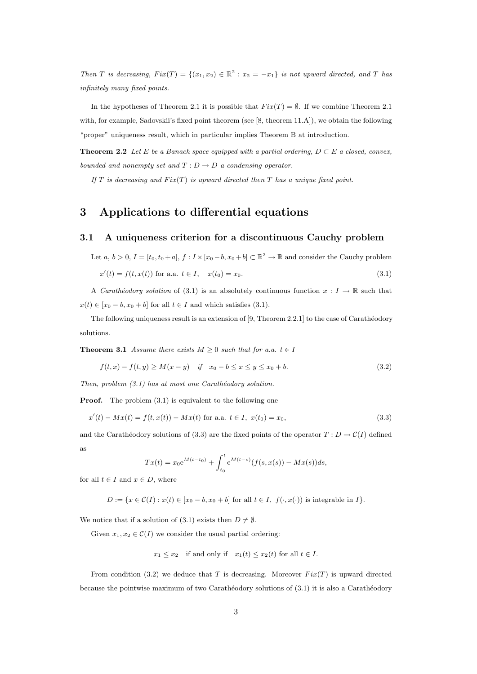Then T is decreasing,  $Fix(T) = \{(x_1, x_2) \in \mathbb{R}^2 : x_2 = -x_1\}$  is not upward directed, and T has infinitely many fixed points.

In the hypotheses of Theorem 2.1 it is possible that  $Fix(T) = \emptyset$ . If we combine Theorem 2.1 with, for example, Sadovskii's fixed point theorem (see [8, theorem 11.A]), we obtain the following "proper" uniqueness result, which in particular implies Theorem B at introduction.

**Theorem 2.2** Let E be a Banach space equipped with a partial ordering,  $D \subset E$  a closed, convex, bounded and nonempty set and  $T: D \to D$  a condensing operator.

If T is decreasing and  $Fix(T)$  is upward directed then T has a unique fixed point.

## 3 Applications to differential equations

#### 3.1 A uniqueness criterion for a discontinuous Cauchy problem

Let  $a, b > 0, I = [t_0, t_0 + a], f : I \times [x_0 - b, x_0 + b] \subset \mathbb{R}^2 \to \mathbb{R}$  and consider the Cauchy problem  $x'(t) = f(t, x(t))$  for a.a.  $t \in I$ ,  $x(t_0) = x_0$ . (3.1)

A Carathéodory solution of (3.1) is an absolutely continuous function  $x : I \to \mathbb{R}$  such that  $x(t) \in [x_0 - b, x_0 + b]$  for all  $t \in I$  and which satisfies (3.1).

The following uniqueness result is an extension of  $[9,$  Theorem 2.2.1] to the case of Carathéodory solutions.

**Theorem 3.1** Assume there exists  $M \geq 0$  such that for a.a.  $t \in I$ 

$$
f(t, x) - f(t, y) \ge M(x - y) \quad \text{if} \quad x_0 - b \le x \le y \le x_0 + b. \tag{3.2}
$$

Then, problem  $(3.1)$  has at most one Carathéodory solution.

**Proof.** The problem  $(3.1)$  is equivalent to the following one

$$
x'(t) - Mx(t) = f(t, x(t)) - Mx(t)
$$
 for a.a.  $t \in I$ ,  $x(t_0) = x_0$ , (3.3)

and the Carathéodory solutions of (3.3) are the fixed points of the operator  $T : D \to \mathcal{C}(I)$  defined as

$$
Tx(t) = x_0 e^{M(t-t_0)} + \int_{t_0}^t e^{M(t-s)} (f(s, x(s)) - Mx(s)) ds,
$$

for all  $t \in I$  and  $x \in D$ , where

 $D := \{x \in \mathcal{C}(I) : x(t) \in [x_0 - b, x_0 + b] \text{ for all } t \in I, f(\cdot, x(\cdot)) \text{ is integrable in } I\}.$ 

We notice that if a solution of (3.1) exists then  $D \neq \emptyset$ .

Given  $x_1, x_2 \in \mathcal{C}(I)$  we consider the usual partial ordering:

$$
x_1 \le x_2
$$
 if and only if  $x_1(t) \le x_2(t)$  for all  $t \in I$ .

From condition (3.2) we deduce that T is decreasing. Moreover  $Fix(T)$  is upward directed because the pointwise maximum of two Carathéodory solutions of  $(3.1)$  it is also a Carathéodory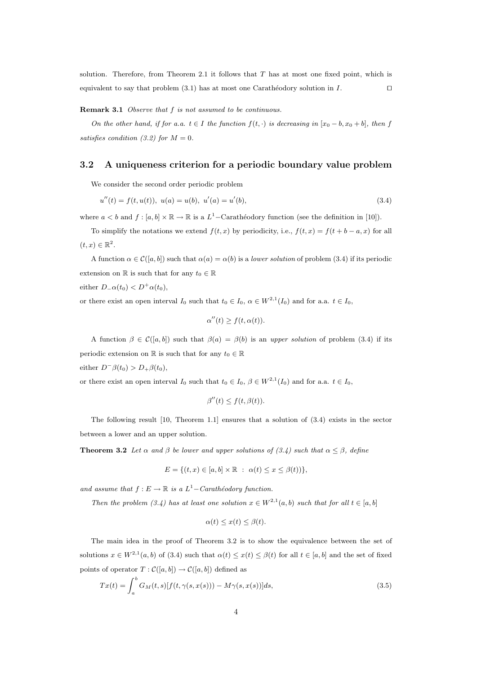solution. Therefore, from Theorem 2.1 it follows that  $T$  has at most one fixed point, which is equivalent to say that problem  $(3.1)$  has at most one Carathéodory solution in I.  $\Box$ 

#### Remark 3.1 Observe that f is not assumed to be continuous.

On the other hand, if for a.a.  $t \in I$  the function  $f(t, \cdot)$  is decreasing in  $[x_0 - b, x_0 + b]$ , then f satisfies condition (3.2) for  $M = 0$ .

#### 3.2 A uniqueness criterion for a periodic boundary value problem

We consider the second order periodic problem

$$
u''(t) = f(t, u(t)), \ u(a) = u(b), \ u'(a) = u'(b), \tag{3.4}
$$

where  $a < b$  and  $f : [a, b] \times \mathbb{R} \to \mathbb{R}$  is a  $L^1$ -Carathéodory function (see the definition in [10]).

To simplify the notations we extend  $f(t, x)$  by periodicity, i.e.,  $f(t, x) = f(t + b - a, x)$  for all  $(t, x) \in \mathbb{R}^2$ .

A function  $\alpha \in \mathcal{C}([a, b])$  such that  $\alpha(a) = \alpha(b)$  is a *lower solution* of problem (3.4) if its periodic extension on  $\mathbb R$  is such that for any  $t_0 \in \mathbb R$ 

either  $D_{-}\alpha(t_0) < D^{+}\alpha(t_0)$ ,

or there exist an open interval  $I_0$  such that  $t_0 \in I_0$ ,  $\alpha \in W^{2,1}(I_0)$  and for a.a.  $t \in I_0$ ,

$$
\alpha''(t) \ge f(t, \alpha(t)).
$$

A function  $\beta \in \mathcal{C}([a, b])$  such that  $\beta(a) = \beta(b)$  is an upper solution of problem (3.4) if its periodic extension on  $\mathbb R$  is such that for any  $t_0 \in \mathbb R$ either  $D^{-}\beta(t_0) > D_{+}\beta(t_0)$ ,

or there exist an open interval  $I_0$  such that  $t_0 \in I_0$ ,  $\beta \in W^{2,1}(I_0)$  and for a.a.  $t \in I_0$ ,

$$
\beta''(t) \le f(t, \beta(t)).
$$

The following result [10, Theorem 1.1] ensures that a solution of (3.4) exists in the sector between a lower and an upper solution.

**Theorem 3.2** Let  $\alpha$  and  $\beta$  be lower and upper solutions of (3.4) such that  $\alpha \leq \beta$ , define

$$
E = \{(t, x) \in [a, b] \times \mathbb{R} : \alpha(t) \le x \le \beta(t)\},
$$

and assume that  $f : E \to \mathbb{R}$  is a  $L^1$ -Carathéodory function.

Then the problem (3.4) has at least one solution  $x \in W^{2,1}(a,b)$  such that for all  $t \in [a,b]$ 

$$
\alpha(t) \le x(t) \le \beta(t).
$$

The main idea in the proof of Theorem 3.2 is to show the equivalence between the set of solutions  $x \in W^{2,1}(a, b)$  of (3.4) such that  $\alpha(t) \leq x(t) \leq \beta(t)$  for all  $t \in [a, b]$  and the set of fixed points of operator  $T : \mathcal{C}([a, b]) \to \mathcal{C}([a, b])$  defined as

$$
Tx(t) = \int_{a}^{b} G_M(t, s)[f(t, \gamma(s, x(s))) - M\gamma(s, x(s))]ds,
$$
\n(3.5)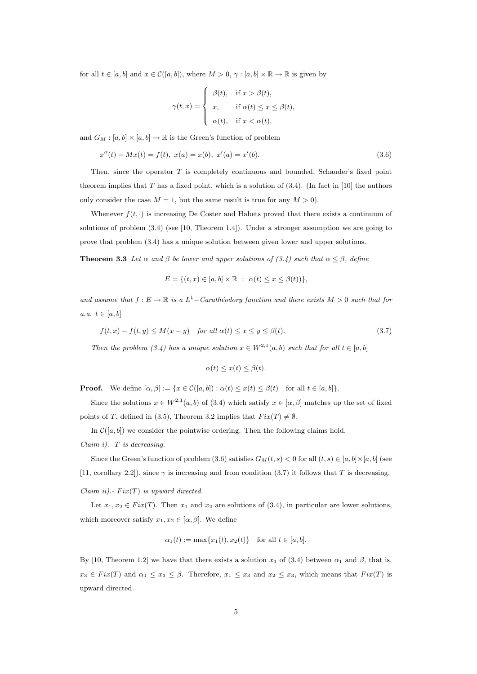for all  $t \in [a, b]$  and  $x \in \mathcal{C}([a, b])$ , where  $M > 0$ ,  $\gamma : [a, b] \times \mathbb{R} \to \mathbb{R}$  is given by

$$
\gamma(t,x) = \begin{cases}\n\beta(t), & \text{if } x > \beta(t), \\
x, & \text{if } \alpha(t) \le x \le \beta(t), \\
\alpha(t), & \text{if } x < \alpha(t),\n\end{cases}
$$

and  $G_M : [a, b] \times [a, b] \to \mathbb{R}$  is the Green's function of problem

$$
x''(t) - Mx(t) = f(t), \ x(a) = x(b), \ x'(a) = x'(b).
$$
\n(3.6)

Then, since the operator T is completely continuous and bounded, Schauder's fixed point theorem implies that T has a fixed point, which is a solution of  $(3.4)$ . (In fact in [10] the authors only consider the case  $M = 1$ , but the same result is true for any  $M > 0$ .

Whenever  $f(t, \cdot)$  is increasing De Coster and Habets proved that there exists a continuum of solutions of problem (3.4) (see [10, Theorem 1.4]). Under a stronger assumption we are going to prove that problem (3.4) has a unique solution between given lower and upper solutions.

**Theorem 3.3** Let  $\alpha$  and  $\beta$  be lower and upper solutions of (3.4) such that  $\alpha < \beta$ , define

$$
E = \{(t, x) \in [a, b] \times \mathbb{R} : \alpha(t) \le x \le \beta(t)\},\
$$

and assume that  $f: E \to \mathbb{R}$  is a  $L^1$ -Carathéodory function and there exists  $M > 0$  such that for a.a.  $t \in [a, b]$ 

$$
f(t,x) - f(t,y) \le M(x-y) \quad \text{for all } \alpha(t) \le x \le y \le \beta(t). \tag{3.7}
$$

Then the problem (3.4) has a unique solution  $x \in W^{2,1}(a, b)$  such that for all  $t \in [a, b]$ 

$$
\alpha(t) \le x(t) \le \beta(t).
$$

**Proof.** We define  $[\alpha, \beta] := \{x \in \mathcal{C}([a, b]) : \alpha(t) \leq x(t) \leq \beta(t) \text{ for all } t \in [a, b]\}.$ 

Since the solutions  $x \in W^{2,1}(a, b)$  of (3.4) which satisfy  $x \in [\alpha, \beta]$  matches up the set of fixed points of T, defined in (3.5), Theorem 3.2 implies that  $Fix(T) \neq \emptyset$ .

In  $\mathcal{C}([a, b])$  we consider the pointwise ordering. Then the following claims hold.

Claim i). 
$$
T
$$
 is decreasing.

Since the Green's function of problem (3.6) satisfies  $G_M(t, s) < 0$  for all  $(t, s) \in [a, b] \times [a, b]$  (see [11, corollary 2.2]), since  $\gamma$  is increasing and from condition (3.7) it follows that T is decreasing.

Claim ii).-  $Fix(T)$  is upward directed.

Let  $x_1, x_2 \in Fix(T)$ . Then  $x_1$  and  $x_2$  are solutions of (3.4), in particular are lower solutions, which moreover satisfy  $x_1, x_2 \in [\alpha, \beta]$ . We define

$$
\alpha_1(t) := \max\{x_1(t), x_2(t)\}\
$$
 for all  $t \in [a, b]$ .

By [10, Theorem 1.2] we have that there exists a solution  $x_3$  of (3.4) between  $\alpha_1$  and  $\beta$ , that is,  $x_3 \in Fix(T)$  and  $\alpha_1 \le x_3 \le \beta$ . Therefore,  $x_1 \le x_3$  and  $x_2 \le x_3$ , which means that  $Fix(T)$  is upward directed.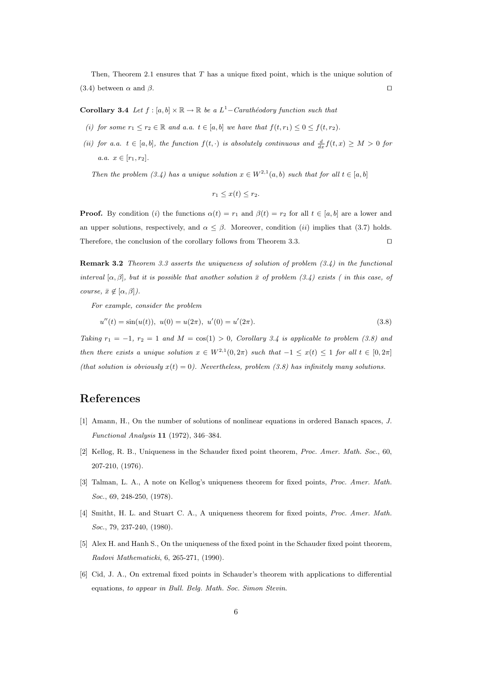Then, Theorem 2.1 ensures that T has a unique fixed point, which is the unique solution of (3.4) between  $\alpha$  and  $\beta$ .

**Corollary 3.4** Let  $f : [a, b] \times \mathbb{R} \to \mathbb{R}$  be a  $L^1$ -Carathéodory function such that

- (i) for some  $r_1 \le r_2 \in \mathbb{R}$  and a.a.  $t \in [a, b]$  we have that  $f(t, r_1) \le 0 \le f(t, r_2)$ .
- (ii) for a.a.  $t \in [a, b]$ , the function  $f(t, \cdot)$  is absolutely continuous and  $\frac{d}{dx} f(t, x) \geq M > 0$  for a.a.  $x \in [r_1, r_2]$ .

Then the problem (3.4) has a unique solution  $x \in W^{2,1}(a, b)$  such that for all  $t \in [a, b]$ 

$$
r_1 \leq x(t) \leq r_2.
$$

**Proof.** By condition (i) the functions  $\alpha(t) = r_1$  and  $\beta(t) = r_2$  for all  $t \in [a, b]$  are a lower and an upper solutions, respectively, and  $\alpha \leq \beta$ . Moreover, condition (ii) implies that (3.7) holds. Therefore, the conclusion of the corollary follows from Theorem 3.3.  $\Box$ 

**Remark 3.2** Theorem 3.3 asserts the uniqueness of solution of problem  $(3.4)$  in the functional interval  $[\alpha, \beta]$ , but it is possible that another solution  $\bar{x}$  of problem (3.4) exists (in this case, of course,  $\bar{x} \notin [\alpha, \beta]$ ).

For example, consider the problem

$$
u''(t) = \sin(u(t)), \ u(0) = u(2\pi), \ u'(0) = u'(2\pi). \tag{3.8}
$$

Taking  $r_1 = -1$ ,  $r_2 = 1$  and  $M = \cos(1) > 0$ , Corollary 3.4 is applicable to problem (3.8) and then there exists a unique solution  $x \in W^{2,1}(0, 2\pi)$  such that  $-1 \leq x(t) \leq 1$  for all  $t \in [0, 2\pi]$ (that solution is obviously  $x(t) = 0$ ). Nevertheless, problem (3.8) has infinitely many solutions.

### References

- [1] Amann, H., On the number of solutions of nonlinear equations in ordered Banach spaces, J. Functional Analysis 11 (1972), 346–384.
- [2] Kellog, R. B., Uniqueness in the Schauder fixed point theorem, Proc. Amer. Math. Soc., 60, 207-210, (1976).
- [3] Talman, L. A., A note on Kellog's uniqueness theorem for fixed points, Proc. Amer. Math. Soc., 69, 248-250, (1978).
- [4] Smitht, H. L. and Stuart C. A., A uniqueness theorem for fixed points, Proc. Amer. Math. Soc., 79, 237-240, (1980).
- [5] Alex H. and Hanh S., On the uniqueness of the fixed point in the Schauder fixed point theorem, Radovi Mathematicki, 6, 265-271, (1990).
- [6] Cid, J. A., On extremal fixed points in Schauder's theorem with applications to differential equations, to appear in Bull. Belg. Math. Soc. Simon Stevin.